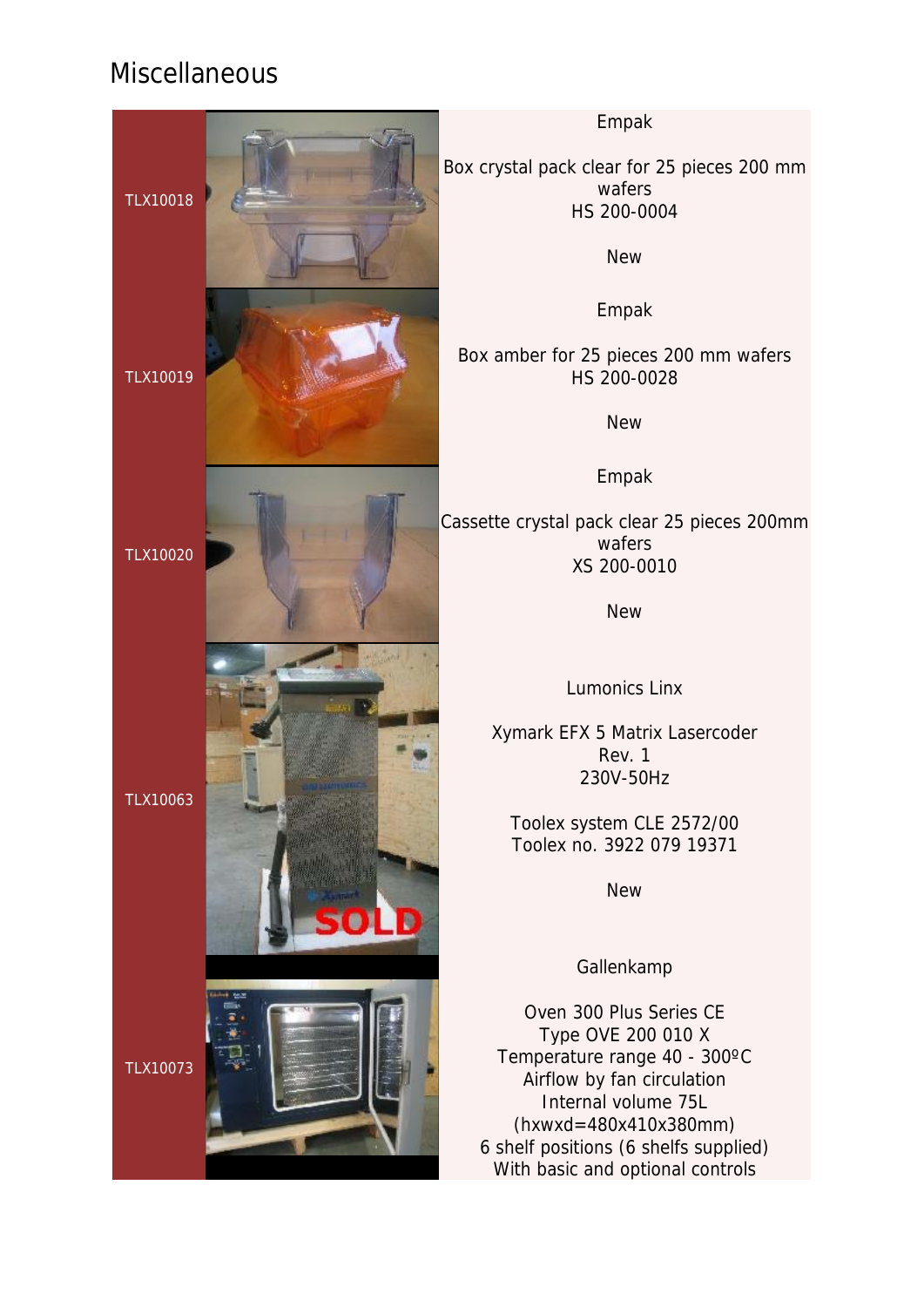## Miscellaneous



Empak

Box crystal pack clear for 25 pieces 200 mm wafers HS 200-0004

**New** 

Empak

Box amber for 25 pieces 200 mm wafers HS 200-0028

New

Empak

Cassette crystal pack clear 25 pieces 200mm wafers XS 200-0010

New

Lumonics Linx

Xymark EFX 5 Matrix Lasercoder Rev. 1 230V-50Hz

Toolex system CLE 2572/00 Toolex no. 3922 079 19371

New

Gallenkamp

Oven 300 Plus Series CE Type OVE 200 010 X Temperature range 40 - 300ºC Airflow by fan circulation Internal volume 75L (hxwxd=480x410x380mm) 6 shelf positions (6 shelfs supplied) With basic and optional controls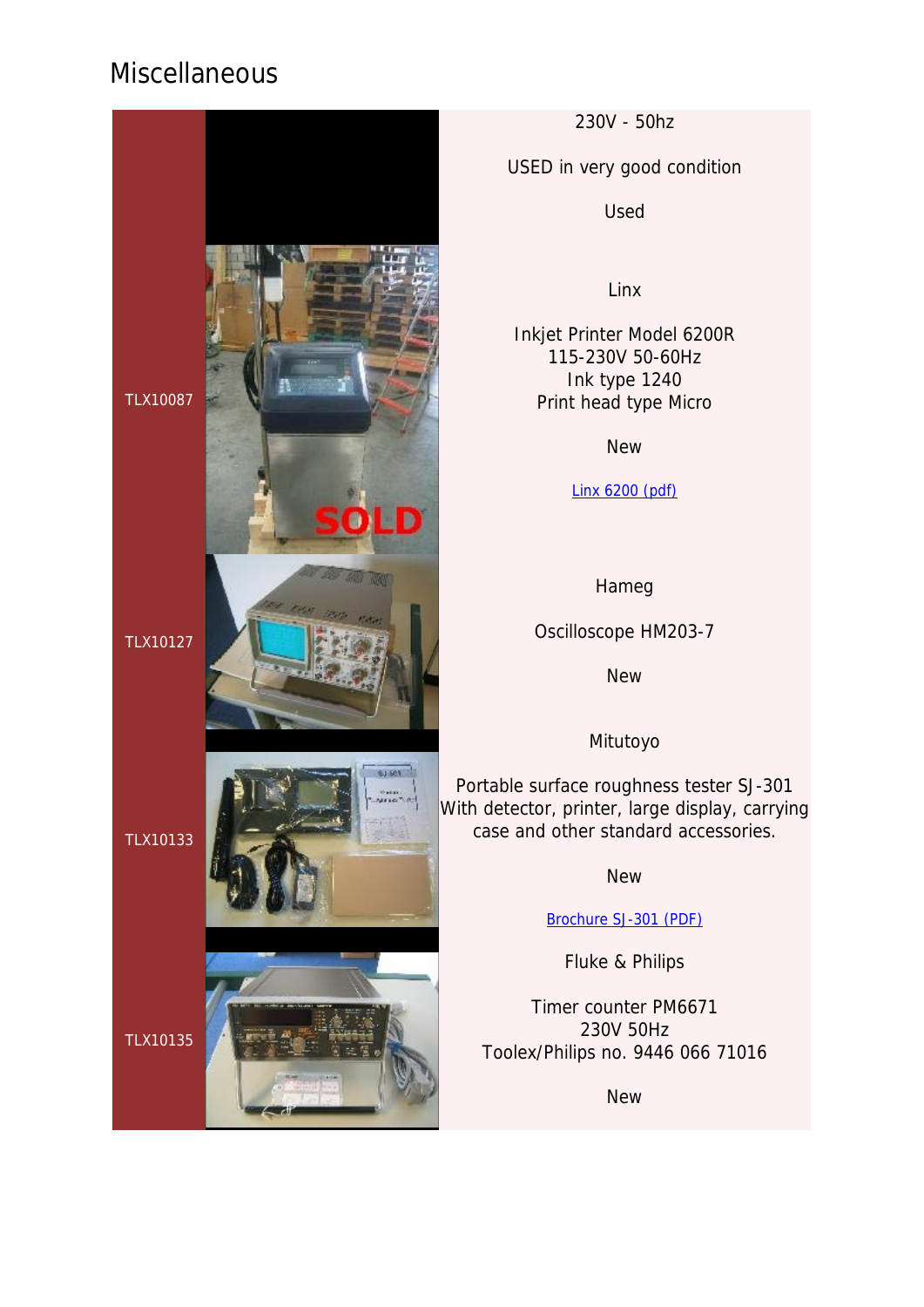## **Miscellaneous**



230V - 50hz

USED in very good condition

Used

Linx

Inkjet Printer Model 6200R 115-230V 50-60Hz Ink type 1240 Print head type Micro

New

Linx 6200 (pdf)

Hameg

Oscilloscope HM203-7

New

Mitutoyo

Portable surface roughness tester SJ-301 With detector, printer, large display, carrying case and other standard accessories.

**New** 

Brochure SJ-301 (PDF)

Fluke & Philips

Timer counter PM6671 230V 50Hz Toolex/Philips no. 9446 066 71016

New